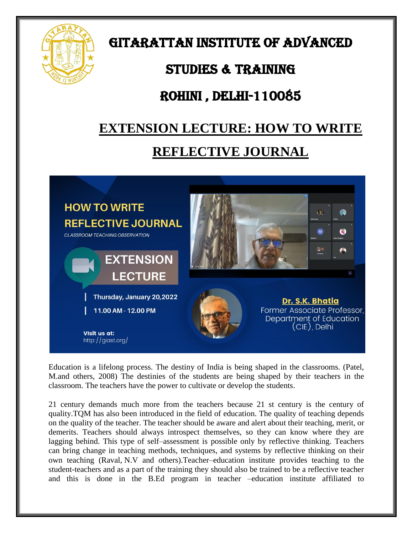

GITARATTAN INSTITUTE OF ADVANCED

### STUDIES & TRAINING

### Rohini , Delhi-110085

# **EXTENSION LECTURE: HOW TO WRITE REFLECTIVE JOURNAL**



Education is a lifelong process. The destiny of India is being shaped in the classrooms. (Patel, M.and others, 2008) The destinies of the students are being shaped by their teachers in the classroom. The teachers have the power to cultivate or develop the students.

21 century demands much more from the teachers because 21 st century is the century of quality.TQM has also been introduced in the field of education. The quality of teaching depends on the quality of the teacher. The teacher should be aware and alert about their teaching, merit, or demerits. Teachers should always introspect themselves, so they can know where they are lagging behind. This type of self–assessment is possible only by reflective thinking. Teachers can bring change in teaching methods, techniques, and systems by reflective thinking on their own teaching (Raval, N.V and others).Teacher–education institute provides teaching to the student-teachers and as a part of the training they should also be trained to be a reflective teacher and this is done in the B.Ed program in teacher –education institute affiliated to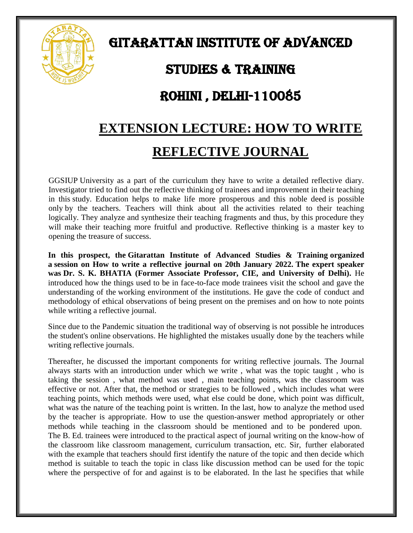

# GITARATTAN INSTITUTE OF ADVANCED

#### STUDIES & TRAINING

#### Rohini , Delhi-110085

# **EXTENSION LECTURE: HOW TO WRITE REFLECTIVE JOURNAL**

GGSIUP University as a part of the curriculum they have to write a detailed reflective diary. Investigator tried to find out the reflective thinking of trainees and improvement in their teaching in this study. Education helps to make life more prosperous and this noble deed is possible only by the teachers. Teachers will think about all the activities related to their teaching logically. They analyze and synthesize their teaching fragments and thus, by this procedure they will make their teaching more fruitful and productive. Reflective thinking is a master key to opening the treasure of success.

**In this prospect, the Gitarattan Institute of Advanced Studies & Training organized a session on How to write a reflective journal on 20th January 2022. The expert speaker was Dr. S. K. BHATIA (Former Associate Professor, CIE, and University of Delhi).** He introduced how the things used to be in face-to-face mode trainees visit the school and gave the understanding of the working environment of the institutions. He gave the code of conduct and methodology of ethical observations of being present on the premises and on how to note points while writing a reflective journal.

Since due to the Pandemic situation the traditional way of observing is not possible he introduces the student's online observations. He highlighted the mistakes usually done by the teachers while writing reflective journals.

Thereafter, he discussed the important components for writing reflective journals. The Journal always starts with an introduction under which we write , what was the topic taught , who is taking the session , what method was used , main teaching points, was the classroom was effective or not. After that, the method or strategies to be followed , which includes what were teaching points, which methods were used, what else could be done, which point was difficult, what was the nature of the teaching point is written. In the last, how to analyze the method used by the teacher is appropriate. How to use the question-answer method appropriately or other methods while teaching in the classroom should be mentioned and to be pondered upon. The B. Ed. trainees were introduced to the practical aspect of journal writing on the know-how of the classroom like classroom management, curriculum transaction, etc. Sir, further elaborated with the example that teachers should first identify the nature of the topic and then decide which method is suitable to teach the topic in class like discussion method can be used for the topic where the perspective of for and against is to be elaborated. In the last he specifies that while